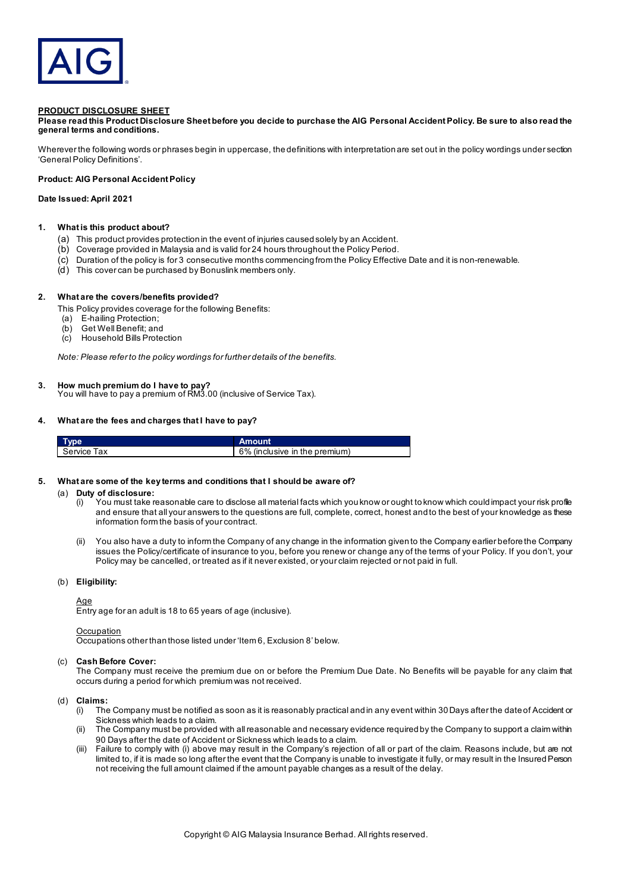

## **PRODUCT DISCLOSURE SHEET**

**Please read this Product Disclosure Sheet before you decide to purchase the AIG Personal Accident Policy. Be sure to also read the general terms and conditions.**

Wherever the following words or phrases begin in uppercase, the definitions with interpretation are set out in the policy wordings under section 'General Policy Definitions'.

# **Product: AIG Personal Accident Policy**

## **Date Issued: April 2021**

# **1. What is this product about?**

- (a) This product provides protection in the event of injuries caused solely by an Accident.
- (b) Coverage provided in Malaysia and is valid for 24 hours throughout the Policy Period.
- (c) Duration of the policy is for 3 consecutive months commencing from the Policy Effective Date and it is non-renewable.
- (d) This cover can be purchased by Bonuslink members only.

### **2. What are the covers/benefits provided?**

#### This Policy provides coverage for the following Benefits:

- (a) E-hailing Protection;
- 
- (b) Get Well Benefit; and<br>(c) Household Bills Prote (c) Household Bills Protection

*Note: Please refer to the policy wordings for further details of the benefits.*

### **3. How much premium do I have to pay?**

You will have to pay a premium of RM3.00 (inclusive of Service Tax).

### **4. What are the fees and charges that I have to pay?**

|                | Amount                        |
|----------------|-------------------------------|
| Service<br>lax | 6% (inclusive in the premium) |

## **5. What are some of the key terms and conditions that I should be aware of?**

#### (a) **Duty of disclosure:**

- (i) You must take reasonable care to disclose all material facts which you know or ought to know which could impact your risk profile and ensure that all your answers to the questions are full, complete, correct, honest and to the best of your knowledge as these information form the basis of your contract.
- (ii) You also have a duty to inform the Company of any change in the information given to the Company earlier before the Company issues the Policy/certificate of insurance to you, before you renew or change any of the terms of your Policy. If you don't, your Policy may be cancelled, or treated as if it never existed, or your claim rejected or not paid in full.

## (b) **Eligibility:**

### Age

Entry age for an adult is 18 to 65 years of age (inclusive).

#### **Occupation**

Occupations other than those listed under 'Item 6, Exclusion 8' below.

# (c) **Cash Before Cover:**

The Company must receive the premium due on or before the Premium Due Date. No Benefits will be payable for any claim that occurs during a period for which premium was not received.

#### (d) **Claims:**

- (i) The Company must be notified as soon as it is reasonably practical and in any event within 30 Days after the date of Accident or Sickness which leads to a claim.
- (ii) The Company must be provided with all reasonable and necessary evidence required by the Company to support a claim within 90 Days after the date of Accident or Sickness which leads to a claim.
- Failure to comply with (i) above may result in the Company's rejection of all or part of the claim. Reasons include, but are not limited to, if it is made so long after the event that the Company is unable to investigate it fully, or may result in the Insured Person not receiving the full amount claimed if the amount payable changes as a result of the delay.